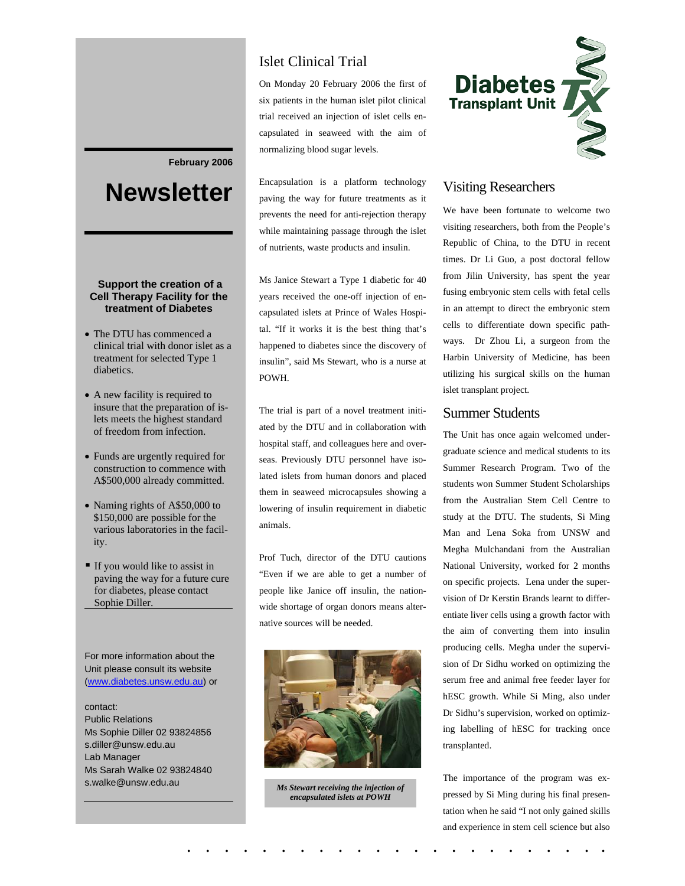#### **February 2006**

# **Newsletter**

#### **Support the creation of a Cell Therapy Facility for the treatment of Diabetes**

- The DTU has commenced a clinical trial with donor islet as a treatment for selected Type 1 diabetics.
- A new facility is required to insure that the preparation of islets meets the highest standard of freedom from infection.
- Funds are urgently required for construction to commence with A\$500,000 already committed.
- Naming rights of A\$50,000 to \$150,000 are possible for the various laboratories in the facility.
- If you would like to assist in paving the way for a future cure for diabetes, please contact Sophie Diller.

For more information about the Unit please consult its website (www.diabetes.unsw.edu.au) or

contact: Public Relations Ms Sophie Diller 02 93824856 s.diller@unsw.edu.au Lab Manager Ms Sarah Walke 02 93824840 s.walke@unsw.edu.au

# Islet Clinical Trial

On Monday 20 February 2006 the first of six patients in the human islet pilot clinical trial received an injection of islet cells encapsulated in seaweed with the aim of normalizing blood sugar levels.

Encapsulation is a platform technology paving the way for future treatments as it prevents the need for anti-rejection therapy while maintaining passage through the islet of nutrients, waste products and insulin.

Ms Janice Stewart a Type 1 diabetic for 40 years received the one-off injection of encapsulated islets at Prince of Wales Hospital. "If it works it is the best thing that's happened to diabetes since the discovery of insulin", said Ms Stewart, who is a nurse at POWH.

The trial is part of a novel treatment initiated by the DTU and in collaboration with hospital staff, and colleagues here and overseas. Previously DTU personnel have isolated islets from human donors and placed them in seaweed microcapsules showing a lowering of insulin requirement in diabetic animals.

Prof Tuch, director of the DTU cautions "Even if we are able to get a number of people like Janice off insulin, the nationwide shortage of organ donors means alternative sources will be needed.



*Ms Stewart receiving the injection of encapsulated islets at POWH* 

. . . . . . . . . . . . . . . . . . . . . . .



#### Visiting Researchers

We have been fortunate to welcome two visiting researchers, both from the People's Republic of China, to the DTU in recent times. Dr Li Guo, a post doctoral fellow from Jilin University, has spent the year fusing embryonic stem cells with fetal cells in an attempt to direct the embryonic stem cells to differentiate down specific pathways. Dr Zhou Li, a surgeon from the Harbin University of Medicine, has been utilizing his surgical skills on the human islet transplant project.

#### Summer Students

The Unit has once again welcomed undergraduate science and medical students to its Summer Research Program. Two of the students won Summer Student Scholarships from the Australian Stem Cell Centre to study at the DTU. The students, Si Ming Man and Lena Soka from UNSW and Megha Mulchandani from the Australian National University, worked for 2 months on specific projects. Lena under the supervision of Dr Kerstin Brands learnt to differentiate liver cells using a growth factor with the aim of converting them into insulin producing cells. Megha under the supervision of Dr Sidhu worked on optimizing the serum free and animal free feeder layer for hESC growth. While Si Ming, also under Dr Sidhu's supervision, worked on optimizing labelling of hESC for tracking once transplanted.

The importance of the program was expressed by Si Ming during his final presentation when he said "I not only gained skills and experience in stem cell science but also